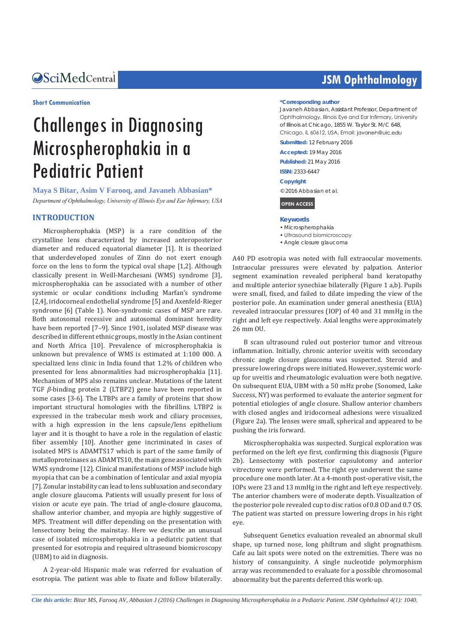## Central *Bringing Excellence in Open Access*

#### **Short Communication**

# Challenges in Diagnosing Microspherophakia in a Pediatric Patient

**Maya S Bitar, Asim V Farooq, and Javaneh Abbasian\*** *Department of Ophthalmology, University of Illinois Eye and Ear Infirmary, USA*

## **INTRODUCTION**

Microspherophakia (MSP) is a rare condition of the crystalline lens characterized by increased anteroposterior diameter and reduced equatorial diameter [1]. It is theorized that underdeveloped zonules of Zinn do not exert enough force on the lens to form the typical oval shape [1,2]. Although classically present in Weill-Marchesani (WMS) syndrome [3], microspherophakia can be associated with a number of other systemic or ocular conditions including Marfan's syndrome [2,4], iridocorneal endothelial syndrome [5] and Axenfeld-Rieger syndrome [6] (Table 1). Non-syndromic cases of MSP are rare. Both autosomal recessive and autosomal dominant heredity have been reported [7-9]. Since 1901, isolated MSP disease was described in different ethnic groups, mostly in the Asian continent and North Africa [10]. Prevalence of microspherophakia is unknown but prevalence of WMS is estimated at 1:100 000. A specialized lens clinic in India found that 1.2% of children who presented for lens abnormalities had microspherophakia [11]. Mechanism of MPS also remains unclear. Mutations of the latent TGF *β*-binding protein 2 (LTBP2) gene have been reported in some cases [3-6]. The LTBPs are a family of proteins that show important structural homologies with the fibrillins. LTBP2 is expressed in the trabecular mesh work and ciliary processes, with a high expression in the lens capsule/lens epithelium layer and it is thought to have a role in the regulation of elastic fiber assembly [10]. Another gene incriminated in cases of isolated MPS is ADAMTS17 which is part of the same family of metalloproteinases as ADAMTS10, the main gene associated with WMS syndrome [12]. Clinical manifestations of MSP include high myopia that can be a combination of lenticular and axial myopia [7]. Zonular instability can lead to lens subluxation and secondary angle closure glaucoma. Patients will usually present for loss of vision or acute eye pain. The triad of angle-closure glaucoma, shallow anterior chamber, and myopia are highly suggestive of MPS. Treatment will differ depending on the presentation with lensectomy being the mainstay. Here we describe an unusual case of isolated microspherophakia in a pediatric patient that presented for esotropia and required ultrasound biomicroscopy (UBM) to aid in diagnosis.

A 2-year-old Hispanic male was referred for evaluation of esotropia. The patient was able to fixate and follow bilaterally.

## **JSM Ophthalmology**

### **\*Corresponding author**

Javaneh Abbasian, Assistant Professor, Department of Ophthalmology, Illinois Eye and Ear Infirmary, University of Illinois at Chicago, 1855 W. Taylor St. M/C 648, Chicago, IL 60612, USA, Email: javaneh@uic.edu

**Submitted:** 12 February 2016

**Accepted:** 19 May 2016

**Published:** 21 May 2016

**ISSN:** 2333-6447

**Copyright**

© 2016 Abbasian et al.

**OPEN ACCESS**

#### **Keywords**

- Microspherophakia
- Ultrasound biomicroscopy
- Angle closure glaucoma

A40 PD esotropia was noted with full extraocular movements. Intraocular pressures were elevated by palpation. Anterior segment examination revealed peripheral band keratopathy and multiple anterior synechiae bilaterally (Figure 1 a,b). Pupils were small, fixed, and failed to dilate impeding the view of the posterior pole. An examination under general anesthesia (EUA) revealed intraocular pressures (IOP) of 40 and 31 mmHg in the right and left eye respectively. Axial lengths were approximately 26 mm OU.

B scan ultrasound ruled out posterior tumor and vitreous inflammation. Initially, chronic anterior uveitis with secondary chronic angle closure glaucoma was suspected. Steroid and pressure lowering drops were initiated. However, systemic workup for uveitis and rheumatologic evaluation were both negative. On subsequent EUA, UBM with a 50 mHz probe (Sonomed, Lake Success, NY) was performed to evaluate the anterior segment for potential etiologies of angle closure. Shallow anterior chambers with closed angles and iridocorneal adhesions were visualized (Figure 2a). The lenses were small, spherical and appeared to be pushing the iris forward.

Microspherophakia was suspected. Surgical exploration was performed on the left eye first, confirming this diagnosis (Figure 2b). Lensectomy with posterior capsulotomy and anterior vitrectomy were performed. The right eye underwent the same procedure one month later. At a 4-month post-operative visit, the IOPs were 23 and 13 mmHg in the right and left eye respectively. The anterior chambers were of moderate depth. Visualization of the posterior pole revealed cup to disc ratios of 0.8 OD and 0.7 OS. The patient was started on pressure lowering drops in his right eye.

Subsequent Genetics evaluation revealed an abnormal skull shape, up turned nose, long philtrum and slight prognathism. Cafe au lait spots were noted on the extremities. There was no history of consanguinity. A single nucleotide polymorphism array was recommended to evaluate for a possible chromosomal abnormality but the parents deferred this work-up.

*Cite this article: Bitar MS, Farooq AV, Abbasian J (2016) Challenges in Diagnosing Microspherophakia in a Pediatric Patient. JSM Ophthalmol 4(1): 1040.*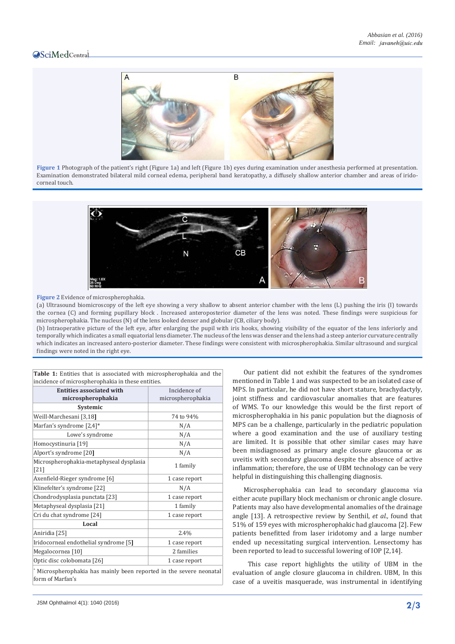## Central



**Figure 1** Photograph of the patient's right (Figure 1a) and left (Figure 1b) eyes during examination under anesthesia performed at presentation. Examination demonstrated bilateral mild corneal edema, peripheral band keratopathy, a diffusely shallow anterior chamber and areas of iridocorneal touch.



#### **Figure 2** Evidence of microspherophakia.

(a) Ultrasound biomicroscopy of the left eye showing a very shallow to absent anterior chamber with the lens (L) pushing the iris (I) towards the cornea (C) and forming pupillary block . Increased anteroposterior diameter of the lens was noted. These findings were suspicious for microspherophakia. The nucleus (N) of the lens looked denser and globular (CB, ciliary body).

(b) Intraoperative picture of the left eye, after enlarging the pupil with iris hooks, showing visibility of the equator of the lens inferiorly and temporally which indicates a small equatorial lens diameter. The nucleus of the lens was denser and the lens had a steep anterior curvature centrally which indicates an increased antero-posterior diameter. These findings were consistent with microspherophakia. Similar ultrasound and surgical findings were noted in the right eye.

| incidence of microspherophakia in these entities.                                       |                   |  |  |  |  |  |  |  |
|-----------------------------------------------------------------------------------------|-------------------|--|--|--|--|--|--|--|
| <b>Entities associated with</b>                                                         | Incidence of      |  |  |  |  |  |  |  |
| microspherophakia                                                                       | microspherophakia |  |  |  |  |  |  |  |
| Systemic                                                                                |                   |  |  |  |  |  |  |  |
| Weill-Marchesani [3,18]                                                                 | 74 to 94%         |  |  |  |  |  |  |  |
| Marfan's syndrome [2,4]*                                                                | N/A               |  |  |  |  |  |  |  |
| Lowe's syndrome                                                                         | N/A               |  |  |  |  |  |  |  |
| Homocystinuria [19]                                                                     | N/A               |  |  |  |  |  |  |  |
| Alport's syndrome [20]                                                                  | N/A               |  |  |  |  |  |  |  |
| Microspherophakia-metaphyseal dysplasia                                                 | 1 family          |  |  |  |  |  |  |  |
| $[21]$                                                                                  |                   |  |  |  |  |  |  |  |
| Axenfield-Rieger syndrome [6]                                                           | 1 case report     |  |  |  |  |  |  |  |
| Klinefelter's syndrome [22]                                                             | N/A               |  |  |  |  |  |  |  |
| Chondrodysplasia punctata [23]                                                          | 1 case report     |  |  |  |  |  |  |  |
| Metaphyseal dysplasia [21]                                                              | 1 family          |  |  |  |  |  |  |  |
| Cri du chat syndrome [24]                                                               | 1 case report     |  |  |  |  |  |  |  |
| Local                                                                                   |                   |  |  |  |  |  |  |  |
| Aniridia [25]                                                                           | 2.4%              |  |  |  |  |  |  |  |
| Iridocorneal endothelial syndrome [5]                                                   | 1 case report     |  |  |  |  |  |  |  |
| Megalocornea <sup>[10]</sup>                                                            | 2 families        |  |  |  |  |  |  |  |
| Optic disc colobomata [26]                                                              | 1 case report     |  |  |  |  |  |  |  |
| * Microspherophakia has mainly been reported in the severe neonatal<br>form of Marfan's |                   |  |  |  |  |  |  |  |

|                                                   |  |  |  |  |  |  | <b>Table 1:</b> Entities that is associated with microspherophakia and the |  |  |  |
|---------------------------------------------------|--|--|--|--|--|--|----------------------------------------------------------------------------|--|--|--|
| incidence of microspherophakia in these entities. |  |  |  |  |  |  |                                                                            |  |  |  |
|                                                   |  |  |  |  |  |  |                                                                            |  |  |  |

Our patient did not exhibit the features of the syndromes mentioned in Table 1 and was suspected to be an isolated case of MPS. In particular, he did not have short stature, brachydactyly, joint stiffness and cardiovascular anomalies that are features of WMS. To our knowledge this would be the first report of microspherophakia in his panic population but the diagnosis of MPS can be a challenge, particularly in the pediatric population where a good examination and the use of auxiliary testing are limited. It is possible that other similar cases may have been misdiagnosed as primary angle closure glaucoma or as uveitis with secondary glaucoma despite the absence of active inflammation; therefore, the use of UBM technology can be very helpful in distinguishing this challenging diagnosis.

Microspherophakia can lead to secondary glaucoma via either acute pupillary block mechanism or chronic angle closure. Patients may also have developmental anomalies of the drainage angle [13]. A retrospective review by Senthil, *et al.,* found that 51% of 159 eyes with microspherophakic had glaucoma [2]. Few patients benefitted from laser iridotomy and a large number ended up necessitating surgical intervention. Lensectomy has been reported to lead to successful lowering of IOP [2,14].

 This case report highlights the utility of UBM in the evaluation of angle closure glaucoma in children. UBM, In this case of a uveitis masquerade, was instrumental in identifying